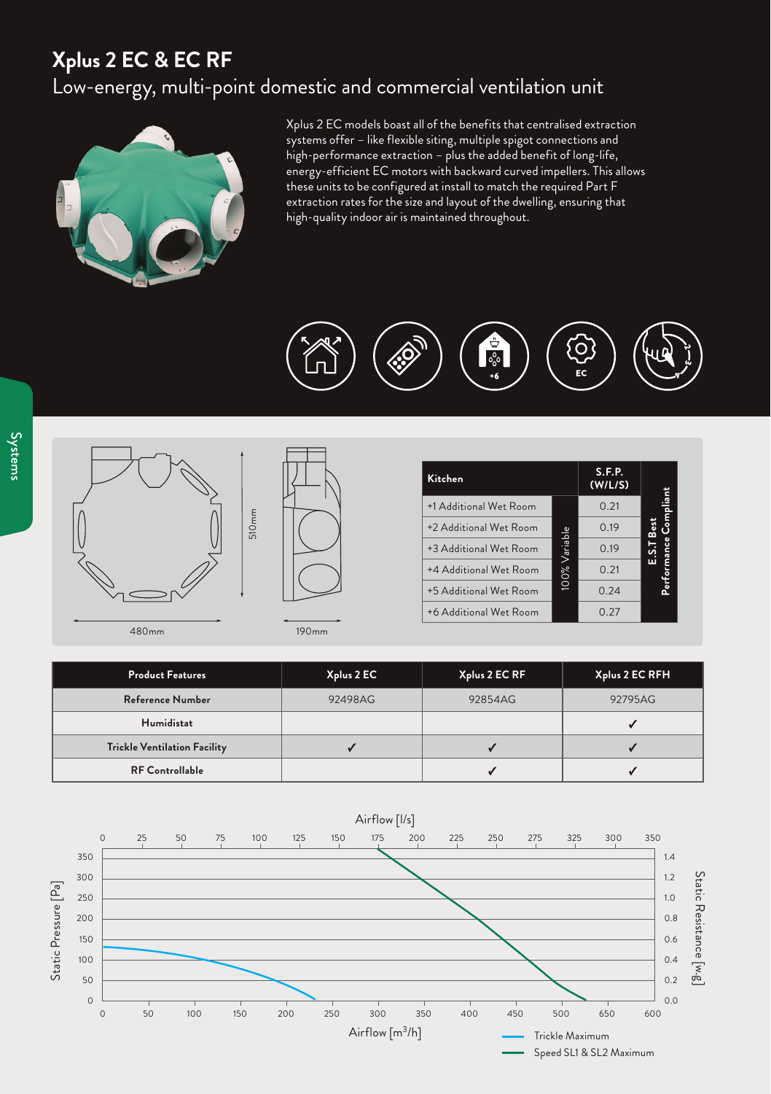## **Xplus 2 EC & EC RF** Low-energy, multi-point domestic and commercial ventilation unit



Xplus 2 EC models boast all of the benefits that centralised extraction systems offer – like flexible siting, multiple spigot connections and high-performance extraction – plus the added benefit of long-life, energy-efficient EC motors with backward curved impellers. This allows these units to be configured at install to match the required Part F extraction rates for the size and layout of the dwelling, ensuring that high-quality indoor air is maintained throughout.







| Kitchen                |              | <b>S.F.P.</b><br>(W/L/S) |             |
|------------------------|--------------|--------------------------|-------------|
| +1 Additional Wet Room |              | 0.21                     | ompliant.   |
| +2 Additional Wet Room |              | 0.19                     |             |
| +3 Additional Wet Room | 00% Variable | 0.19                     |             |
| +4 Additional Wet Room |              | 0.21                     | Performance |
| +5 Additional Wet Room |              | 0.24                     |             |
| +6 Additional Wet Room |              | 0.27                     |             |

480mm 190mm

| <b>Product Features</b>             | Xplus 2 EC | Xplus 2 EC RF | Xplus 2 EC RFH |
|-------------------------------------|------------|---------------|----------------|
| Reference Number                    | 92498AG    | 92854AG       | 92795AG        |
| <b>Humidistat</b>                   |            |               |                |
| <b>Trickle Ventilation Facility</b> |            |               |                |
| <b>RF Controllable</b>              |            |               |                |